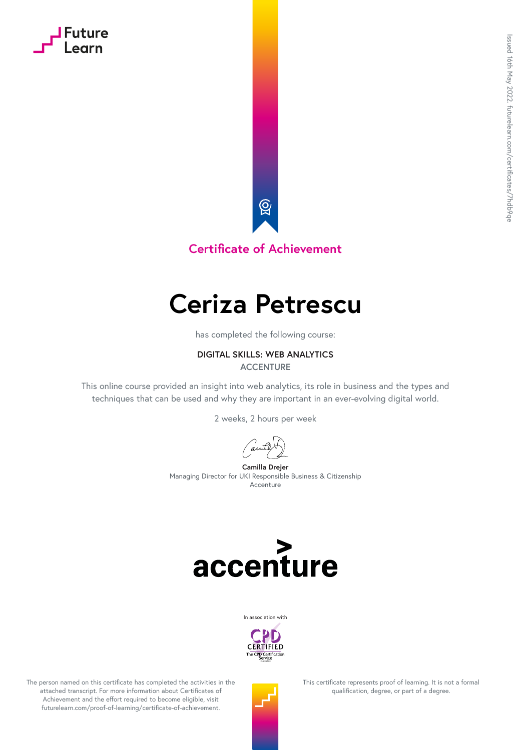## **Future**



#### **Certificate of Achievement**

### **Ceriza Petrescu**

has completed the following course:

#### **DIGITAL SKILLS: WEB ANALYTICS**

**ACCENTURE**

This online course provided an insight into web analytics, its role in business and the types and techniques that can be used and why they are important in an ever-evolving digital world.

2 weeks, 2 hours per week

**Camilla Drejer** Managing Director for UKI Responsible Business & Citizenship Accenture





The person named on this certificate has completed the activities in the attached transcript. For more information about Certificates of Achievement and the effort required to become eligible, visit futurelearn.com/proof-of-learning/certificate-of-achievement.

This certificate represents proof of learning. It is not a formal qualification, degree, or part of a degree.